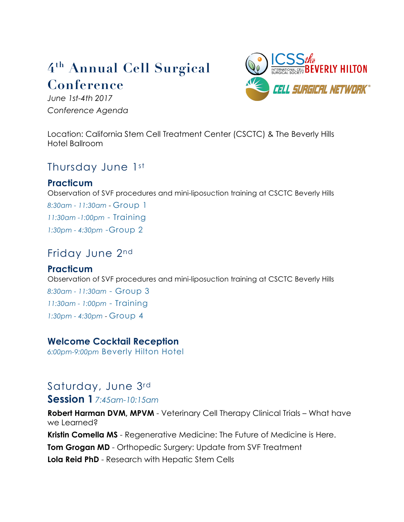# **4th Annual Cell Surgical Conference**

*June 1st-4th 2017 Conference Agenda*



Location: California Stem Cell Treatment Center (CSCTC) & The Beverly Hills Hotel Ballroom

# Thursday June 1st

### **Practicum**

Observation of SVF procedures and mini-liposuction training at CSCTC Beverly Hills *8:30am - 11:30am* - Group 1 *11:30am -1:00pm* - Training *1:30pm - 4:30pm* -Group 2

# Friday June 2nd

# **Practicum**

Observation of SVF procedures and mini-liposuction training at CSCTC Beverly Hills *8:30am - 11:30am* - Group 3 *11:30am - 1:00pm* - Training *1:30pm - 4:30pm* - Group 4

# **Welcome Cocktail Reception**

*6:00pm-9:00pm* Beverly Hilton Hotel

# Saturday, June 3rd **Session 1** *7:45am-10:15am*

**Robert Harman DVM, MPVM** - Veterinary Cell Therapy Clinical Trials – What have we Learned?

**Kristin Comella MS** - Regenerative Medicine: The Future of Medicine is Here.

**Tom Grogan MD** - Orthopedic Surgery: Update from SVF Treatment

**Lola Reid PhD** - Research with Hepatic Stem Cells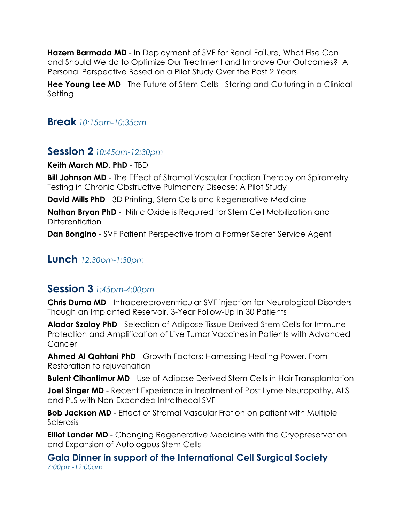**Hazem Barmada MD** - In Deployment of SVF for Renal Failure, What Else Can and Should We do to Optimize Our Treatment and Improve Our Outcomes? A Personal Perspective Based on a Pilot Study Over the Past 2 Years.

**Hee Young Lee MD** - The Future of Stem Cells - Storing and Culturing in a Clinical Setting

#### **Break** *10:15am-10:35am*

#### **Session 2** *10:45am-12:30pm*

**Keith March MD, PhD** - TBD

**Bill Johnson MD** - The Effect of Stromal Vascular Fraction Therapy on Spirometry Testing in Chronic Obstructive Pulmonary Disease: A Pilot Study

**David Mills PhD** - 3D Printing, Stem Cells and Regenerative Medicine

**Nathan Bryan PhD** - Nitric Oxide is Required for Stem Cell Mobilization and Differentiation

**Dan Bongino** - SVF Patient Perspective from a Former Secret Service Agent

### **Lunch** *12:30pm-1:30pm*

# **Session 3** *1:45pm-4:00pm*

**Chris Duma MD** - Intracerebroventricular SVF injection for Neurological Disorders Though an Implanted Reservoir. 3-Year Follow-Up in 30 Patients

**Aladar Szalay PhD** - Selection of Adipose Tissue Derived Stem Cells for Immune Protection and Amplification of Live Tumor Vaccines in Patients with Advanced **Cancer** 

**Ahmed Al Qahtani PhD** - Growth Factors: Harnessing Healing Power, From Restoration to rejuvenation

**Bulent Cihantimur MD** - Use of Adipose Derived Stem Cells in Hair Transplantation

**Joel Singer MD** - Recent Experience in treatment of Post Lyme Neuropathy, ALS and PLS with Non-Expanded Intrathecal SVF

**Bob Jackson MD** - Effect of Stromal Vascular Fration on patient with Multiple Sclerosis

**Elliot Lander MD** - Changing Regenerative Medicine with the Cryopreservation and Expansion of Autologous Stem Cells

**Gala Dinner in support of the International Cell Surgical Society**  *7:00pm-12:00am*